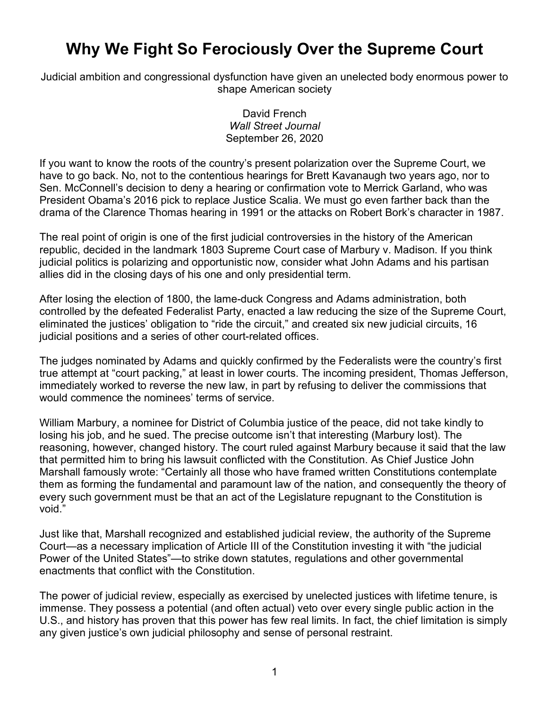## **Why We Fight So Ferociously Over the Supreme Court**

Judicial ambition and congressional dysfunction have given an unelected body enormous power to shape American society

> David French *Wall Street Journal* September 26, 2020

If you want to know the roots of the country's present polarization over the Supreme Court, we have to go back. No, not to the contentious hearings for Brett Kavanaugh two years ago, nor to Sen. McConnell's decision to deny a hearing or confirmation vote to Merrick Garland, who was President Obama's 2016 pick to replace Justice Scalia. We must go even farther back than the drama of the Clarence Thomas hearing in 1991 or the attacks on Robert Bork's character in 1987.

The real point of origin is one of the first judicial controversies in the history of the American republic, decided in the landmark 1803 Supreme Court case of Marbury v. Madison. If you think judicial politics is polarizing and opportunistic now, consider what John Adams and his partisan allies did in the closing days of his one and only presidential term.

After losing the election of 1800, the lame-duck Congress and Adams administration, both controlled by the defeated Federalist Party, enacted a law reducing the size of the Supreme Court, eliminated the justices' obligation to "ride the circuit," and created six new judicial circuits, 16 judicial positions and a series of other court-related offices.

The judges nominated by Adams and quickly confirmed by the Federalists were the country's first true attempt at "court packing," at least in lower courts. The incoming president, Thomas Jefferson, immediately worked to reverse the new law, in part by refusing to deliver the commissions that would commence the nominees' terms of service.

William Marbury, a nominee for District of Columbia justice of the peace, did not take kindly to losing his job, and he sued. The precise outcome isn't that interesting (Marbury lost). The reasoning, however, changed history. The court ruled against Marbury because it said that the law that permitted him to bring his lawsuit conflicted with the Constitution. As Chief Justice John Marshall famously wrote: "Certainly all those who have framed written Constitutions contemplate them as forming the fundamental and paramount law of the nation, and consequently the theory of every such government must be that an act of the Legislature repugnant to the Constitution is void."

Just like that, Marshall recognized and established judicial review, the authority of the Supreme Court—as a necessary implication of Article III of the Constitution investing it with "the judicial Power of the United States"—to strike down statutes, regulations and other governmental enactments that conflict with the Constitution.

The power of judicial review, especially as exercised by unelected justices with lifetime tenure, is immense. They possess a potential (and often actual) veto over every single public action in the U.S., and history has proven that this power has few real limits. In fact, the chief limitation is simply any given justice's own judicial philosophy and sense of personal restraint.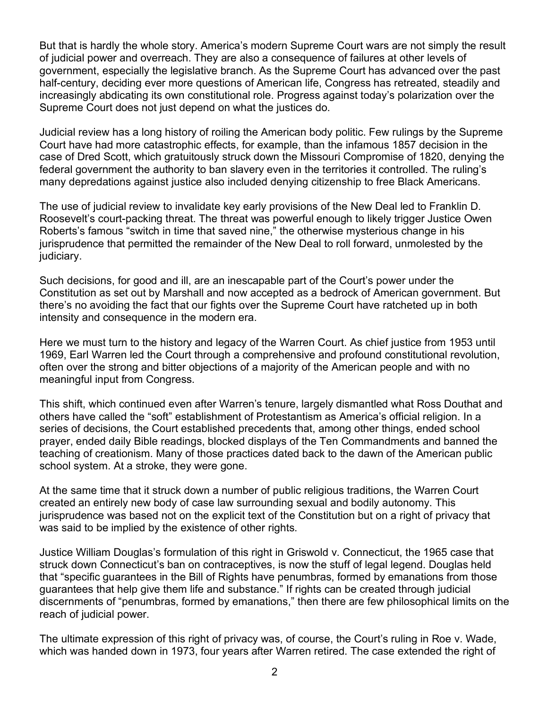But that is hardly the whole story. America's modern Supreme Court wars are not simply the result of judicial power and overreach. They are also a consequence of failures at other levels of government, especially the legislative branch. As the Supreme Court has advanced over the past half-century, deciding ever more questions of American life, Congress has retreated, steadily and increasingly abdicating its own constitutional role. Progress against today's polarization over the Supreme Court does not just depend on what the justices do.

Judicial review has a long history of roiling the American body politic. Few rulings by the Supreme Court have had more catastrophic effects, for example, than the infamous 1857 decision in the case of Dred Scott, which gratuitously struck down the Missouri Compromise of 1820, denying the federal government the authority to ban slavery even in the territories it controlled. The ruling's many depredations against justice also included denying citizenship to free Black Americans.

The use of judicial review to invalidate key early provisions of the New Deal led to Franklin D. Roosevelt's court-packing threat. The threat was powerful enough to likely trigger Justice Owen Roberts's famous "switch in time that saved nine," the otherwise mysterious change in his jurisprudence that permitted the remainder of the New Deal to roll forward, unmolested by the judiciary.

Such decisions, for good and ill, are an inescapable part of the Court's power under the Constitution as set out by Marshall and now accepted as a bedrock of American government. But there's no avoiding the fact that our fights over the Supreme Court have ratcheted up in both intensity and consequence in the modern era.

Here we must turn to the history and legacy of the Warren Court. As chief justice from 1953 until 1969, Earl Warren led the Court through a comprehensive and profound constitutional revolution, often over the strong and bitter objections of a majority of the American people and with no meaningful input from Congress.

This shift, which continued even after Warren's tenure, largely dismantled what Ross Douthat and others have called the "soft" establishment of Protestantism as America's official religion. In a series of decisions, the Court established precedents that, among other things, ended school prayer, ended daily Bible readings, blocked displays of the Ten Commandments and banned the teaching of creationism. Many of those practices dated back to the dawn of the American public school system. At a stroke, they were gone.

At the same time that it struck down a number of public religious traditions, the Warren Court created an entirely new body of case law surrounding sexual and bodily autonomy. This jurisprudence was based not on the explicit text of the Constitution but on a right of privacy that was said to be implied by the existence of other rights.

Justice William Douglas's formulation of this right in Griswold v. Connecticut, the 1965 case that struck down Connecticut's ban on contraceptives, is now the stuff of legal legend. Douglas held that "specific guarantees in the Bill of Rights have penumbras, formed by emanations from those guarantees that help give them life and substance." If rights can be created through judicial discernments of "penumbras, formed by emanations," then there are few philosophical limits on the reach of judicial power.

The ultimate expression of this right of privacy was, of course, the Court's ruling in Roe v. Wade, which was handed down in 1973, four years after Warren retired. The case extended the right of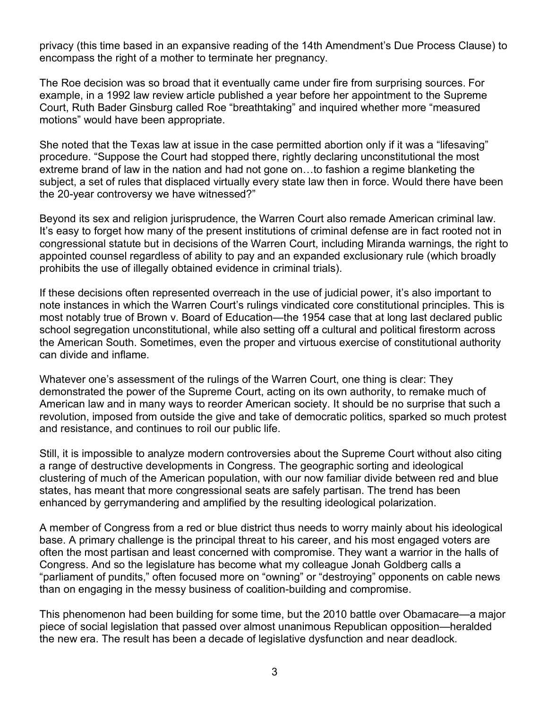privacy (this time based in an expansive reading of the 14th Amendment's Due Process Clause) to encompass the right of a mother to terminate her pregnancy.

The Roe decision was so broad that it eventually came under fire from surprising sources. For example, in a 1992 law review article published a year before her appointment to the Supreme Court, Ruth Bader Ginsburg called Roe "breathtaking" and inquired whether more "measured motions" would have been appropriate.

She noted that the Texas law at issue in the case permitted abortion only if it was a "lifesaving" procedure. "Suppose the Court had stopped there, rightly declaring unconstitutional the most extreme brand of law in the nation and had not gone on…to fashion a regime blanketing the subject, a set of rules that displaced virtually every state law then in force. Would there have been the 20-year controversy we have witnessed?"

Beyond its sex and religion jurisprudence, the Warren Court also remade American criminal law. It's easy to forget how many of the present institutions of criminal defense are in fact rooted not in congressional statute but in decisions of the Warren Court, including Miranda warnings, the right to appointed counsel regardless of ability to pay and an expanded exclusionary rule (which broadly prohibits the use of illegally obtained evidence in criminal trials).

If these decisions often represented overreach in the use of judicial power, it's also important to note instances in which the Warren Court's rulings vindicated core constitutional principles. This is most notably true of Brown v. Board of Education—the 1954 case that at long last declared public school segregation unconstitutional, while also setting off a cultural and political firestorm across the American South. Sometimes, even the proper and virtuous exercise of constitutional authority can divide and inflame.

Whatever one's assessment of the rulings of the Warren Court, one thing is clear: They demonstrated the power of the Supreme Court, acting on its own authority, to remake much of American law and in many ways to reorder American society. It should be no surprise that such a revolution, imposed from outside the give and take of democratic politics, sparked so much protest and resistance, and continues to roil our public life.

Still, it is impossible to analyze modern controversies about the Supreme Court without also citing a range of destructive developments in Congress. The geographic sorting and ideological clustering of much of the American population, with our now familiar divide between red and blue states, has meant that more congressional seats are safely partisan. The trend has been enhanced by gerrymandering and amplified by the resulting ideological polarization.

A member of Congress from a red or blue district thus needs to worry mainly about his ideological base. A primary challenge is the principal threat to his career, and his most engaged voters are often the most partisan and least concerned with compromise. They want a warrior in the halls of Congress. And so the legislature has become what my colleague Jonah Goldberg calls a "parliament of pundits," often focused more on "owning" or "destroying" opponents on cable news than on engaging in the messy business of coalition-building and compromise.

This phenomenon had been building for some time, but the 2010 battle over Obamacare—a major piece of social legislation that passed over almost unanimous Republican opposition—heralded the new era. The result has been a decade of legislative dysfunction and near deadlock.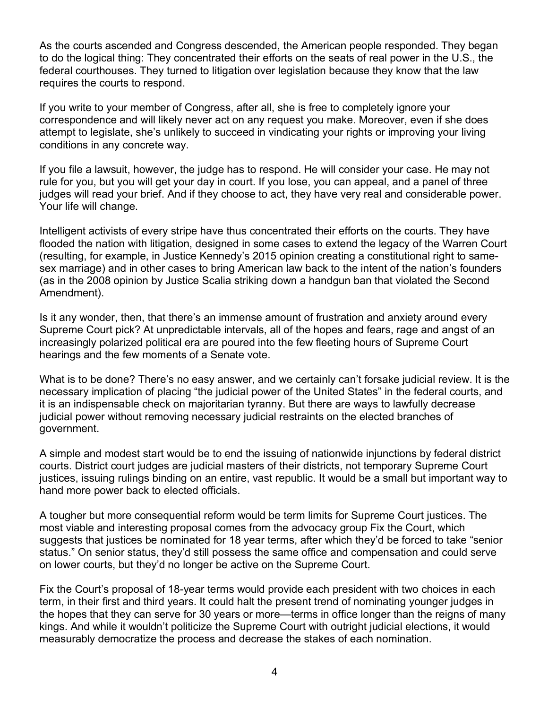As the courts ascended and Congress descended, the American people responded. They began to do the logical thing: They concentrated their efforts on the seats of real power in the U.S., the federal courthouses. They turned to litigation over legislation because they know that the law requires the courts to respond.

If you write to your member of Congress, after all, she is free to completely ignore your correspondence and will likely never act on any request you make. Moreover, even if she does attempt to legislate, she's unlikely to succeed in vindicating your rights or improving your living conditions in any concrete way.

If you file a lawsuit, however, the judge has to respond. He will consider your case. He may not rule for you, but you will get your day in court. If you lose, you can appeal, and a panel of three judges will read your brief. And if they choose to act, they have very real and considerable power. Your life will change.

Intelligent activists of every stripe have thus concentrated their efforts on the courts. They have flooded the nation with litigation, designed in some cases to extend the legacy of the Warren Court (resulting, for example, in Justice Kennedy's 2015 opinion creating a constitutional right to samesex marriage) and in other cases to bring American law back to the intent of the nation's founders (as in the 2008 opinion by Justice Scalia striking down a handgun ban that violated the Second Amendment).

Is it any wonder, then, that there's an immense amount of frustration and anxiety around every Supreme Court pick? At unpredictable intervals, all of the hopes and fears, rage and angst of an increasingly polarized political era are poured into the few fleeting hours of Supreme Court hearings and the few moments of a Senate vote.

What is to be done? There's no easy answer, and we certainly can't forsake judicial review. It is the necessary implication of placing "the judicial power of the United States" in the federal courts, and it is an indispensable check on majoritarian tyranny. But there are ways to lawfully decrease judicial power without removing necessary judicial restraints on the elected branches of government.

A simple and modest start would be to end the issuing of nationwide injunctions by federal district courts. District court judges are judicial masters of their districts, not temporary Supreme Court justices, issuing rulings binding on an entire, vast republic. It would be a small but important way to hand more power back to elected officials.

A tougher but more consequential reform would be term limits for Supreme Court justices. The most viable and interesting proposal comes from the advocacy group Fix the Court, which suggests that justices be nominated for 18 year terms, after which they'd be forced to take "senior status." On senior status, they'd still possess the same office and compensation and could serve on lower courts, but they'd no longer be active on the Supreme Court.

Fix the Court's proposal of 18-year terms would provide each president with two choices in each term, in their first and third years. It could halt the present trend of nominating younger judges in the hopes that they can serve for 30 years or more—terms in office longer than the reigns of many kings. And while it wouldn't politicize the Supreme Court with outright judicial elections, it would measurably democratize the process and decrease the stakes of each nomination.